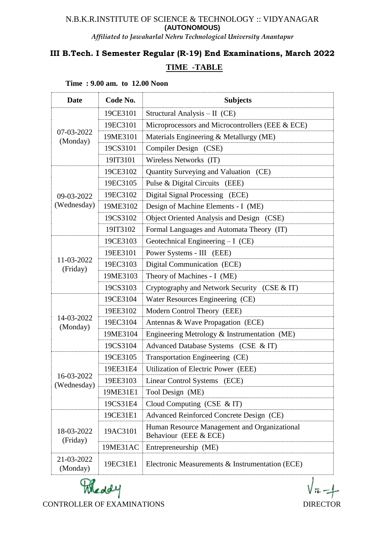### N.B.K.R.INSTITUTE OF SCIENCE & TECHNOLOGY :: VIDYANAGAR **(AUTONOMOUS)**

*Affiliated to Jawaharlal Nehru Technological University Anantapur*

# **III B.Tech. I Semester Regular (R-19) End Examinations, March 2022 TIME -TABLE**

| <b>Date</b>               | Code No. | <b>Subjects</b>                                                       |  |
|---------------------------|----------|-----------------------------------------------------------------------|--|
| 07-03-2022<br>(Monday)    | 19CE3101 | Structural Analysis - II (CE)                                         |  |
|                           | 19EC3101 | Microprocessors and Microcontrollers (EEE & ECE)                      |  |
|                           | 19ME3101 | Materials Engineering & Metallurgy (ME)                               |  |
|                           | 19CS3101 | Compiler Design (CSE)                                                 |  |
|                           | 19IT3101 | Wireless Networks (IT)                                                |  |
| 09-03-2022<br>(Wednesday) | 19CE3102 | Quantity Surveying and Valuation (CE)                                 |  |
|                           | 19EC3105 | Pulse & Digital Circuits (EEE)                                        |  |
|                           | 19EC3102 | Digital Signal Processing (ECE)                                       |  |
|                           | 19ME3102 | Design of Machine Elements - I (ME)                                   |  |
|                           | 19CS3102 | Object Oriented Analysis and Design (CSE)                             |  |
|                           | 19IT3102 | Formal Languages and Automata Theory (IT)                             |  |
| 11-03-2022<br>(Friday)    | 19CE3103 | Geotechnical Engineering $-I$ (CE)                                    |  |
|                           | 19EE3101 | Power Systems - III (EEE)                                             |  |
|                           | 19EC3103 | Digital Communication (ECE)                                           |  |
|                           | 19ME3103 | Theory of Machines - I (ME)                                           |  |
|                           | 19CS3103 | Cryptography and Network Security (CSE & IT)                          |  |
|                           | 19CE3104 | Water Resources Engineering (CE)                                      |  |
|                           | 19EE3102 | Modern Control Theory (EEE)                                           |  |
| 14-03-2022<br>(Monday)    | 19EC3104 | Antennas & Wave Propagation (ECE)                                     |  |
|                           | 19ME3104 | Engineering Metrology & Instrumentation (ME)                          |  |
|                           | 19CS3104 | Advanced Database Systems (CSE & IT)                                  |  |
| 16-03-2022<br>(Wednesday) | 19CE3105 | Transportation Engineering (CE)                                       |  |
|                           | 19EE31E4 | Utilization of Electric Power (EEE)                                   |  |
|                           | 19EE3103 | Linear Control Systems (ECE)                                          |  |
|                           | 19ME31E1 | Tool Design (ME)                                                      |  |
|                           | 19CS31E4 | Cloud Computing (CSE $&IT$ )                                          |  |
| 18-03-2022<br>(Friday)    | 19CE31E1 | Advanced Reinforced Concrete Design (CE)                              |  |
|                           | 19AC3101 | Human Resource Management and Organizational<br>Behaviour (EEE & ECE) |  |
|                           | 19ME31AC | Entrepreneurship (ME)                                                 |  |
| 21-03-2022<br>(Monday)    | 19EC31E1 | Electronic Measurements & Instrumentation (ECE)                       |  |

#### **Time : 9.00 am. to 12.00 Noon**



CONTROLLER OF EXAMINATIONS DIRECTOR